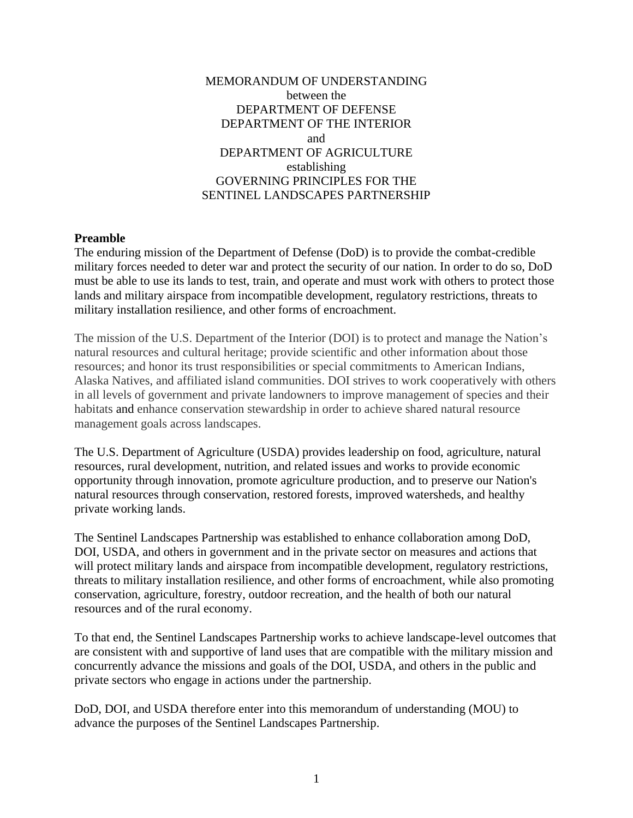#### MEMORANDUM OF UNDERSTANDING between the DEPARTMENT OF DEFENSE DEPARTMENT OF THE INTERIOR and DEPARTMENT OF AGRICULTURE establishing GOVERNING PRINCIPLES FOR THE SENTINEL LANDSCAPES PARTNERSHIP

#### **Preamble**

The enduring mission of the Department of Defense (DoD) is to provide the combat-credible military forces needed to deter war and protect the security of our nation. In order to do so, DoD must be able to use its lands to test, train, and operate and must work with others to protect those lands and military airspace from incompatible development, regulatory restrictions, threats to military installation resilience, and other forms of encroachment.

The mission of the U.S. Department of the Interior (DOI) is to protect and manage the Nation's natural resources and cultural heritage; provide scientific and other information about those resources; and honor its trust responsibilities or special commitments to American Indians, Alaska Natives, and affiliated island communities. DOI strives to work cooperatively with others in all levels of government and private landowners to improve management of species and their habitats and enhance conservation stewardship in order to achieve shared natural resource management goals across landscapes.

The U.S. Department of Agriculture (USDA) provides leadership on food, agriculture, natural resources, rural development, nutrition, and related issues and works to provide economic opportunity through innovation, promote agriculture production, and to preserve our Nation's natural resources through conservation, restored forests, improved watersheds, and healthy private working lands.

The Sentinel Landscapes Partnership was established to enhance collaboration among DoD, DOI, USDA, and others in government and in the private sector on measures and actions that will protect military lands and airspace from incompatible development, regulatory restrictions, threats to military installation resilience, and other forms of encroachment, while also promoting conservation, agriculture, forestry, outdoor recreation, and the health of both our natural resources and of the rural economy.

To that end, the Sentinel Landscapes Partnership works to achieve landscape-level outcomes that are consistent with and supportive of land uses that are compatible with the military mission and concurrently advance the missions and goals of the DOI, USDA, and others in the public and private sectors who engage in actions under the partnership.

DoD, DOI, and USDA therefore enter into this memorandum of understanding (MOU) to advance the purposes of the Sentinel Landscapes Partnership.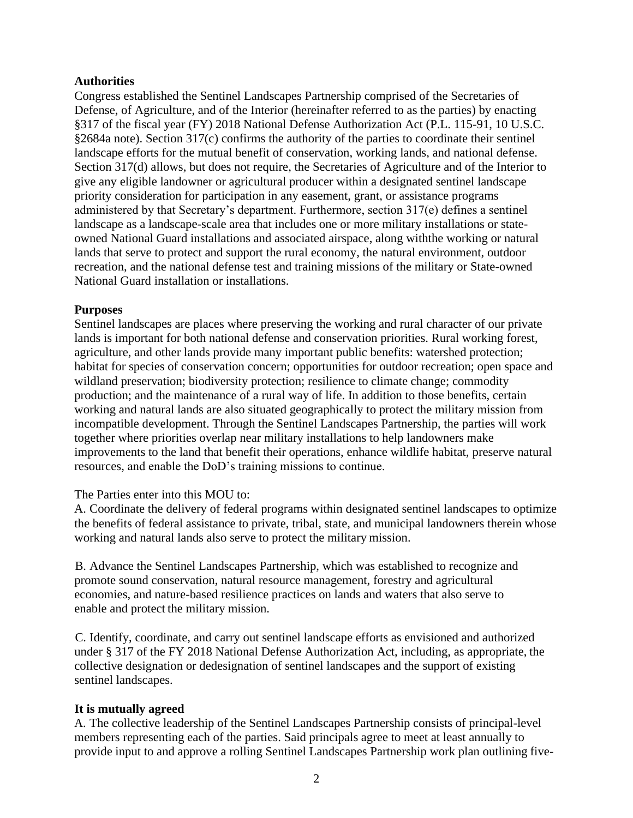#### **Authorities**

Congress established the Sentinel Landscapes Partnership comprised of the Secretaries of Defense, of Agriculture, and of the Interior (hereinafter referred to as the parties) by enacting §317 of the fiscal year (FY) 2018 National Defense Authorization Act (P.L. 115-91, 10 U.S.C. §2684a note). Section 317(c) confirms the authority of the parties to coordinate their sentinel landscape efforts for the mutual benefit of conservation, working lands, and national defense. Section 317(d) allows, but does not require, the Secretaries of Agriculture and of the Interior to give any eligible landowner or agricultural producer within a designated sentinel landscape priority consideration for participation in any easement, grant, or assistance programs administered by that Secretary's department. Furthermore, section 317(e) defines a sentinel landscape as a landscape-scale area that includes one or more military installations or stateowned National Guard installations and associated airspace, along withthe working or natural lands that serve to protect and support the rural economy, the natural environment, outdoor recreation, and the national defense test and training missions of the military or State-owned National Guard installation or installations.

#### **Purposes**

Sentinel landscapes are places where preserving the working and rural character of our private lands is important for both national defense and conservation priorities. Rural working forest, agriculture, and other lands provide many important public benefits: watershed protection; habitat for species of conservation concern; opportunities for outdoor recreation; open space and wildland preservation; biodiversity protection; resilience to climate change; commodity production; and the maintenance of a rural way of life. In addition to those benefits, certain working and natural lands are also situated geographically to protect the military mission from incompatible development. Through the Sentinel Landscapes Partnership, the parties will work together where priorities overlap near military installations to help landowners make improvements to the land that benefit their operations, enhance wildlife habitat, preserve natural resources, and enable the DoD's training missions to continue.

# The Parties enter into this MOU to:

A. Coordinate the delivery of federal programs within designated sentinel landscapes to optimize the benefits of federal assistance to private, tribal, state, and municipal landowners therein whose working and natural lands also serve to protect the military mission.

B. Advance the Sentinel Landscapes Partnership, which was established to recognize and promote sound conservation, natural resource management, forestry and agricultural economies, and nature-based resilience practices on lands and waters that also serve to enable and protect the military mission.

C. Identify, coordinate, and carry out sentinel landscape efforts as envisioned and authorized under § 317 of the FY 2018 National Defense Authorization Act, including, as appropriate, the collective designation or dedesignation of sentinel landscapes and the support of existing sentinel landscapes.

# **It is mutually agreed**

A. The collective leadership of the Sentinel Landscapes Partnership consists of principal-level members representing each of the parties. Said principals agree to meet at least annually to provide input to and approve a rolling Sentinel Landscapes Partnership work plan outlining five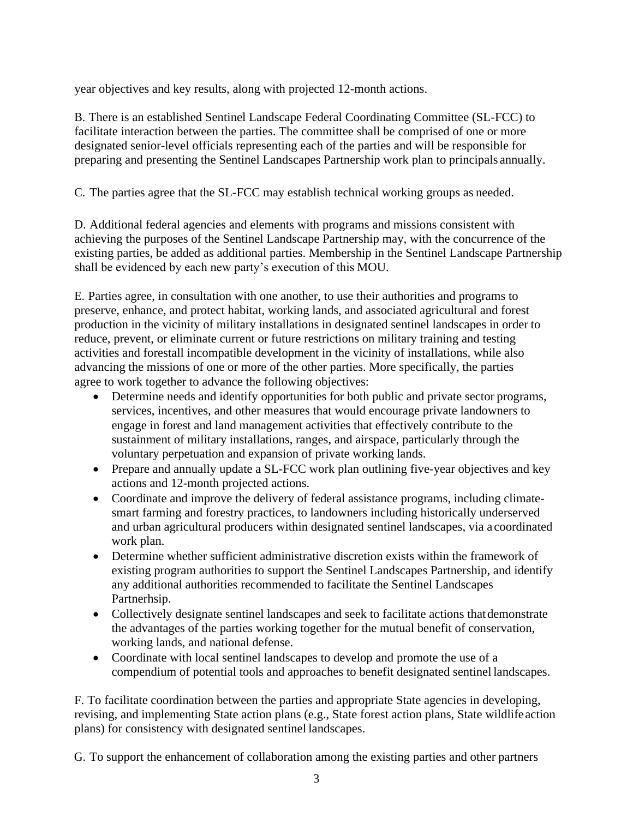year objectives and key results, along with projected 12-month actions.

B. There is an established Sentinel Landscape Federal Coordinating Committee (SL-FCC) to facilitate interaction between the parties. The committee shall be comprised of one or more designated senior-level officials representing each of the parties and will be responsible for preparing and presenting the Sentinel Landscapes Partnership work plan to principals annually.

C. The parties agree that the SL-FCC may establish technical working groups as needed.

D. Additional federal agencies and elements with programs and missions consistent with achieving the purposes of the Sentinel Landscape Partnership may, with the concurrence of the existing parties, be added as additional parties. Membership in the Sentinel Landscape Partnership shall be evidenced by each new party's execution of this MOU.

E. Parties agree, in consultation with one another, to use their authorities and programs to preserve, enhance, and protect habitat, working lands, and associated agricultural and forest production in the vicinity of military installations in designated sentinel landscapes in order to reduce, prevent, or eliminate current or future restrictions on military training and testing activities and forestall incompatible development in the vicinity of installations, while also advancing the missions of one or more of the other parties. More specifically, the parties agree to work together to advance the following objectives:

- Determine needs and identify opportunities for both public and private sector programs, services, incentives, and other measures that would encourage private landowners to engage in forest and land management activities that effectively contribute to the sustainment of military installations, ranges, and airspace, particularly through the voluntary perpetuation and expansion of private working lands.
- Prepare and annually update a SL-FCC work plan outlining five-year objectives and key actions and 12-month projected actions.
- Coordinate and improve the delivery of federal assistance programs, including climatesmart farming and forestry practices, to landowners including historically underserved and urban agricultural producers within designated sentinel landscapes, via a coordinated work plan.
- Determine whether sufficient administrative discretion exists within the framework of existing program authorities to support the Sentinel Landscapes Partnership, and identify any additional authorities recommended to facilitate the Sentinel Landscapes Partnerhsip.
- Collectively designate sentinel landscapes and seek to facilitate actions that demonstrate the advantages of the parties working together for the mutual benefit of conservation, working lands, and national defense.
- Coordinate with local sentinel landscapes to develop and promote the use of a compendium of potential tools and approaches to benefit designated sentinel landscapes.

F. To facilitate coordination between the parties and appropriate State agencies in developing, revising, and implementing State action plans (e.g., State forest action plans, State wildlifeaction plans) for consistency with designated sentinel landscapes.

G. To support the enhancement of collaboration among the existing parties and other partners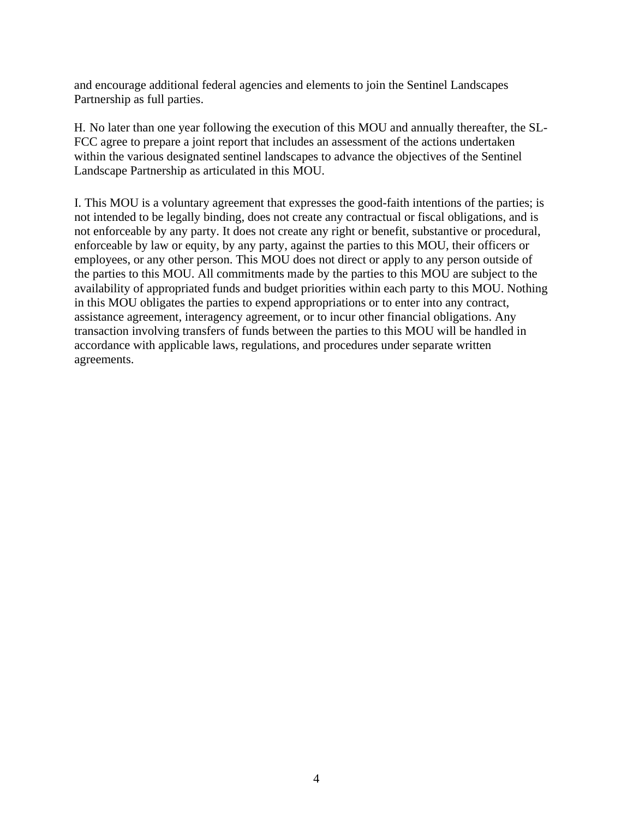and encourage additional federal agencies and elements to join the Sentinel Landscapes Partnership as full parties.

H. No later than one year following the execution of this MOU and annually thereafter, the SL-FCC agree to prepare a joint report that includes an assessment of the actions undertaken within the various designated sentinel landscapes to advance the objectives of the Sentinel Landscape Partnership as articulated in this MOU.

I. This MOU is a voluntary agreement that expresses the good-faith intentions of the parties; is not intended to be legally binding, does not create any contractual or fiscal obligations, and is not enforceable by any party. It does not create any right or benefit, substantive or procedural, enforceable by law or equity, by any party, against the parties to this MOU, their officers or employees, or any other person. This MOU does not direct or apply to any person outside of the parties to this MOU. All commitments made by the parties to this MOU are subject to the availability of appropriated funds and budget priorities within each party to this MOU. Nothing in this MOU obligates the parties to expend appropriations or to enter into any contract, assistance agreement, interagency agreement, or to incur other financial obligations. Any transaction involving transfers of funds between the parties to this MOU will be handled in accordance with applicable laws, regulations, and procedures under separate written agreements.